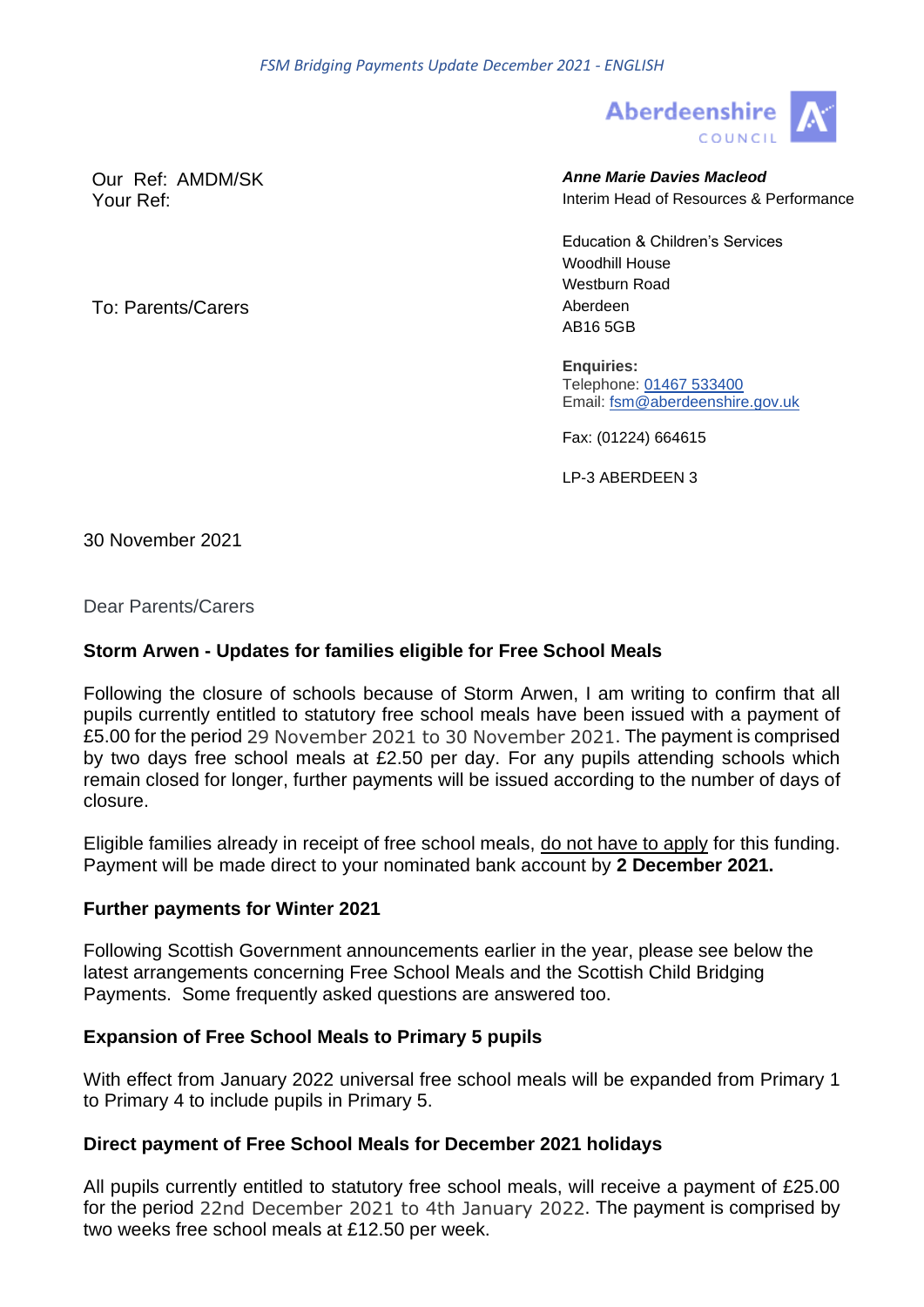

Our Ref: AMDM/SK *Anne Marie Davies Macleod* Your Ref: Interim Head of Resources & Performance

Education & Children's Services Woodhill House Westburn Road To: Parents/Carers and the contract of the Aberdeen AB16 5GB

> **Enquiries:** Telephone: [01467 533400](tel:01467533400) Email: [fsm@aberdeenshire.gov.uk](mailto:fsm@aberdeenshire.gov.uk)

Fax: (01224) 664615

LP-3 ABERDEEN 3

30 November 2021

Dear Parents/Carers

# **Storm Arwen - Updates for families eligible for Free School Meals**

Following the closure of schools because of Storm Arwen, I am writing to confirm that all pupils currently entitled to statutory free school meals have been issued with a payment of £5.00 for the period 29 November 2021 to 30 November 2021. The payment is comprised by two days free school meals at £2.50 per day. For any pupils attending schools which remain closed for longer, further payments will be issued according to the number of days of closure.

Eligible families already in receipt of free school meals, do not have to apply for this funding. Payment will be made direct to your nominated bank account by **2 December 2021.**

## **Further payments for Winter 2021**

Following Scottish Government announcements earlier in the year, please see below the latest arrangements concerning Free School Meals and the Scottish Child Bridging Payments. Some frequently asked questions are answered too.

## **Expansion of Free School Meals to Primary 5 pupils**

With effect from January 2022 universal free school meals will be expanded from Primary 1 to Primary 4 to include pupils in Primary 5.

## **Direct payment of Free School Meals for December 2021 holidays**

All pupils currently entitled to statutory free school meals, will receive a payment of £25.00 for the period 22nd December 2021 to 4th January 2022. The payment is comprised by two weeks free school meals at £12.50 per week.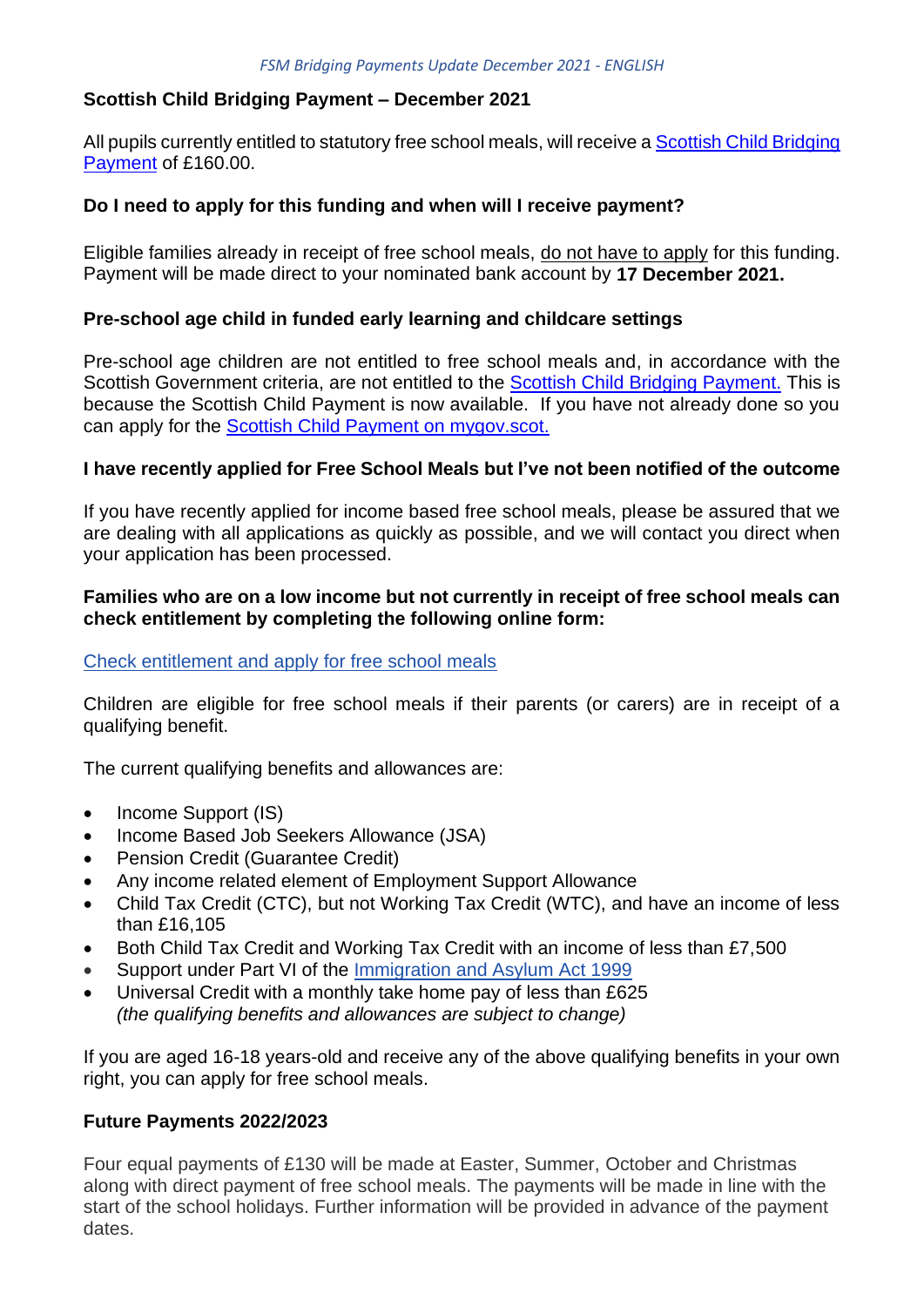# **Scottish Child Bridging Payment – December 2021**

All pupils currently entitled to statutory free school meals, will receive a [Scottish Child Bridging](https://www.mygov.scot/scottish-child-bridging-payments)  [Payment](https://www.mygov.scot/scottish-child-bridging-payments) of £160.00.

## **Do I need to apply for this funding and when will I receive payment?**

Eligible families already in receipt of free school meals, do not have to apply for this funding. Payment will be made direct to your nominated bank account by **17 December 2021.**

### **Pre-school age child in funded early learning and childcare settings**

Pre-school age children are not entitled to free school meals and, in accordance with the Scottish Government criteria, are not entitled to the [Scottish Child Bridging Payment.](https://www.mygov.scot/scottish-child-bridging-payments) This is because the Scottish Child Payment is now available. If you have not already done so you can apply for the [Scottish Child Payment on mygov.scot.](https://www.mygov.scot/scottish-child-payment)

### **I have recently applied for Free School Meals but I've not been notified of the outcome**

If you have recently applied for income based free school meals, please be assured that we are dealing with all applications as quickly as possible, and we will contact you direct when your application has been processed.

### **Families who are on a low income but not currently in receipt of free school meals can check entitlement by completing the following online form:**

#### [Check entitlement and apply for free school meals](https://aberdeenshirecouncil.formstack.com/forms/free_school_meals_school_clothing_grant_application_form)

Children are eligible for free school meals if their parents (or carers) are in receipt of a qualifying benefit.

The current qualifying benefits and allowances are:

- Income Support (IS)
- Income Based Job Seekers Allowance (JSA)
- Pension Credit (Guarantee Credit)
- Any income related element of Employment Support Allowance
- Child Tax Credit (CTC), but not Working Tax Credit (WTC), and have an income of less than £16,105
- Both Child Tax Credit and Working Tax Credit with an income of less than £7,500
- Support under Part VI of the [Immigration and Asylum Act 1999](https://www.legislation.gov.uk/ukpga/1999/33/contents)
- Universal Credit with a monthly take home pay of less than £625 *(the qualifying benefits and allowances are subject to change)*

If you are aged 16-18 years-old and receive any of the above qualifying benefits in your own right, you can apply for free school meals.

#### **Future Payments 2022/2023**

Four equal payments of £130 will be made at Easter, Summer, October and Christmas along with direct payment of free school meals. The payments will be made in line with the start of the school holidays. Further information will be provided in advance of the payment dates.